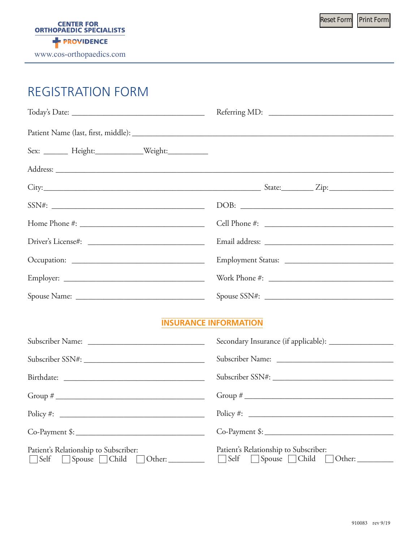# REGISTRATION FORM

|                                                        | Referring MD: |
|--------------------------------------------------------|---------------|
|                                                        |               |
| Sex: ________ Height:______________Weight:____________ |               |
|                                                        |               |
|                                                        |               |
| SSN#:                                                  | DOB:          |
|                                                        | Cell Phone #: |
|                                                        |               |
|                                                        |               |
|                                                        |               |
|                                                        |               |
| <b>INSURANCE INFORMATION</b>                           |               |
|                                                        |               |
|                                                        |               |
|                                                        |               |
|                                                        |               |
| $Policy \#:$                                           | $Policy \#:$  |

Co-Payment \$: \_\_\_\_\_\_\_\_\_\_\_\_\_\_\_\_\_\_\_\_\_\_\_\_\_\_\_\_\_\_\_\_

| Patient's Relationship to Subscriber: | Patient's Relationship to Subscriber: |
|---------------------------------------|---------------------------------------|
| Self Spouse Child Other:              | Self Spouse Child Other:              |

Co-Payment \$: \_\_\_\_\_\_\_\_\_\_\_\_\_\_\_\_\_\_\_\_\_\_\_\_\_\_\_\_\_\_\_\_